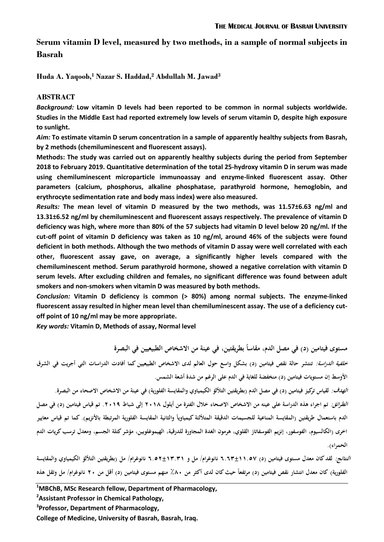**Serum vitamin D level, measured by two methods, in a sample of normal subjects in Basrah**

**Huda A. Yaqoob,<sup>1</sup> Nazar S. Haddad,<sup>2</sup> Abdullah M. Jawad<sup>3</sup>**

# **ABSTRACT**

*Background:* **Low vitamin D levels had been reported to be common in normal subjects worldwide. Studies in the Middle East had reported extremely low levels of serum vitamin D, despite high exposure to sunlight.** 

*Aim:* **To estimate vitamin D serum concentration in a sample of apparently healthy subjects from Basrah, by 2 methods (chemiluminescent and fluorescent assays).** 

**Methods: The study was carried out on apparently healthy subjects during the period from September 2018 to February 2019. Quantitative determination of the total 25-hydroxy vitamin D in serum was made using chemiluminescent microparticle immunoassay and enzyme-linked fluorescent assay. Other parameters (calcium, phosphorus, alkaline phosphatase, parathyroid hormone, hemoglobin, and erythrocyte sedimentation rate and body mass index) were also measured.** 

*Results:* **The mean level of vitamin D measured by the two methods, was 11.57±6.63 ng/ml and 13.31±6.52 ng/ml by chemiluminescent and fluorescent assays respectively. The prevalence of vitamin D deficiency was high, where more than 80% of the 57 subjects had vitamin D level below 20 ng/ml. If the cut-off point of vitamin D deficiency was taken as 10 ng/ml, around 46% of the subjects were found deficient in both methods. Although the two methods of vitamin D assay were well correlated with each other, fluorescent assay gave, on average, a significantly higher levels compared with the chemiluminescent method. Serum parathyroid hormone, showed a negative correlation with vitamin D serum levels. After excluding children and females, no significant difference was found between adult smokers and non-smokers when vitamin D was measured by both methods.**

*Conclusion:* **Vitamin D deficiency is common (> 80%) among normal subjects. The enzyme-linked fluorescent assay resulted in higher mean level than chemiluminescent assay. The use of a deficiency cutoff point of 10 ng/ml may be more appropriate.**

*Key words:* **Vitamin D, Methods of assay, Normal level**

**ً مستوى فيتامين )د( في مصل الدم, مقاسا بطريقتين, في عينة من االشخاص الطبيعيين في البصرة خلفية الدراسة: تنتشر حالة نقص فيتامين )د( بشكل واسع حول العالم لدى االشخاص الطبيعيين كما أفادت الدراسات التي أجريت في الشرق األوسط إن مستويات فيتامين )د( منخفضة للغاية في الدم على الرغم من شدة أشعة الشمس.**

*الهدف:* لقياس تركيز فيتامين (د) في مصل الدم (بطريقتين التلألؤ الكيمياوي والمقايسة الفلورية) في عينة من الاشخاص الاصحاء من البصرة. **الطرائق: تم اجراء ىذه الدراسة على عينو من االشخاص االصحاء خالل الفترة من أيلول 8102 إلى شباط .8103 تم قياس فيتامين )د( في مصل**  الدم باستعمال طريقتين (المقايسة المناعية للجسيمات الدقيقة المتلألئة كيمياوياً والثانية المقايسة الفلورية المرتبطة بالأنزيم). كما تم قياس معايير **اخرى )الكالسيوم, الفوسفور, إنزيم الفوسفاتاز القلوي, ىرمون الغدة المجاورة للدرقية, الهيموغلوبين, مؤشر كتلة الجسم, ومعدل ترسب كريات الدم**  ا**لحمر**اء).

**النتائج: لقد كان معدل مستوى فيتامين )د( ...6±00.11 نانوغرام/ مل و ..18±06.60 نانوغرام/ مل )بطريقتين التأللؤ الكيمياوي والمقايسة**  الفلورية) كان معدل انتشار نقص فيتامين (د) مرتفعاً حيث كان لدى أكثر من ٨٠٪ منهم مستوى فيتامين (د) أقل من ٢٠ نانوغرام/ مل وتقل هذه

**<sup>1</sup>MBChB, MSc Research fellow, Department of Pharmacology,** 

**<sup>2</sup> Assistant Professor in Chemical Pathology,** 

**<sup>3</sup> Professor, Department of Pharmacology,**

**College of Medicine, University of Basrah, Basrah, Iraq.**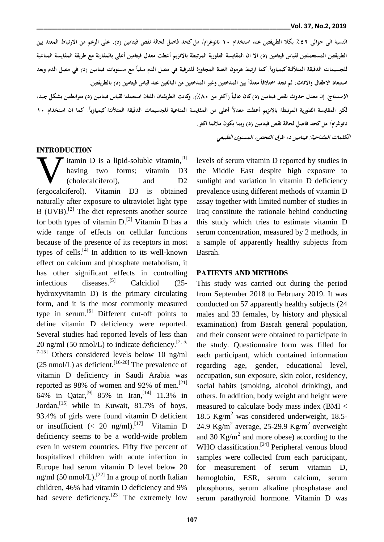**النسبة الى حوالي 46. بكال الطريقتين عند استخدام 01 نانوغرام/ مل كحد فاصل لحالة نقص فيتامين )د(. على الرغم من االرتباط المعتد بين**  الطريقتين المستعملتين لقياس فيتامين (د) الا ان المقايسة الفلورية المرتبطة بالانزيم أعطت معدل فيتامين أعلى بالمقارنة مع طريقة المقايسة المناعية للجسيمات الدقيقة المتلألئة كيمياوياً. كما ارتبط هرمون الغدة المجاورة للدرقية في مصل الدم سلباً مع مستويات فيتامين (د) في مصل الدم وبعد **ً** استبعاد الاطفال والاناث، لم نجد اختلافاً معتداً بين المدخنين وغير المدخنين من البالغين عند قياس فيتامين (د) بالطريقتين.

**ً االستنتاج: )أكثر من إن معدل حدوث نقص فيتامين )د(كان عاليا 421(. وكانت الطريقتان اللتان استعملتا لقياس فيتامين )د( مترابطتين بشكل جيد, ً** لكن المقايسة الفلورية المرتبطة بالانزيم أعطت معدلاً أعلى من المقايسة المناعية للجسيمات الدقيقة المتلألئة كيمياوياً. كما ان استخدام ١٠ **نانوغرام/ مل كحد فاصل لحالة نقص فيتامين )د( ربما يكون مالئما اكثر.**

**الكلمات المفتاحية: فيتامين د, طرق الفحص, المستوى الطبيعي**

#### **INTRODUCTION**

itamin D is a lipid-soluble vitamin, [1] having two forms; vitamin D3 (cholecalciferol), and D2 We decrease the carrotic contract the selection of the vitamin and the control (cholecalciferol), and D2 (ergocalciferol). Vitamin D3 is obtained naturally after exposure to ultraviolet light type B (UVB).<sup>[2]</sup> The diet represents another source for both types of vitamin  $D$ .<sup>[3]</sup> Vitamin  $D$  has a wide range of effects on cellular functions because of the presence of its receptors in most types of cells.[4] In addition to its well-known effect on calcium and phosphate metabolism, it has other significant effects in controlling infectious diseases. Calcidiol (25hydroxyvitamin D) is the primary circulating form, and it is the most commonly measured type in serum.<sup>[6]</sup> Different cut-off points to define vitamin D deficiency were reported. Several studies had reported levels of less than 20 ng/ml (50 nmol/L) to indicate deficiency.<sup>[2, 5,</sup>]  $7-15$ ] Others considered levels below 10 ng/ml  $(25 \text{ nmol/L})$  as deficient.<sup>[16-20]</sup> The prevalence of vitamin D deficiency in Saudi Arabia was reported as 98% of women and 92% of men.<sup>[21]</sup> 64% in Qatar,[9] 85% in Iran,[14] 11.3% in Jordan,<sup>[15]</sup> while in Kuwait, 81.7% of boys, 93.4% of girls were found vitamin D deficient or insufficient (< 20 ng/ml).<sup>[17]</sup> Vitamin D deficiency seems to be a world-wide problem even in western countries. Fifty five percent of hospitalized children with acute infection in Europe had serum vitamin D level below 20 ng/ml (50 nmol/L).<sup>[22]</sup> In a group of north Italian children, 46% had vitamin D deficiency and 9% had severe deficiency.<sup>[23]</sup> The extremely low

levels of serum vitamin D reported by studies in the Middle East despite high exposure to sunlight and variation in vitamin D deficiency prevalence using different methods of vitamin D assay together with limited number of studies in Iraq constitute the rationale behind conducting this study which tries to estimate vitamin D serum concentration, measured by 2 methods, in a sample of apparently healthy subjects from Basrah.

#### **PATIENTS AND METHODS**

This study was carried out during the period from September 2018 to February 2019. It was conducted on 57 apparently healthy subjects (24 males and 33 females, by history and physical examination) from Basrah general population, and their consent were obtained to participate in the study. Questionnaire form was filled for each participant, which contained information regarding age, gender, educational level, occupation, sun exposure, skin color, residency, social habits (smoking, alcohol drinking), and others. In addition, body weight and height were measured to calculate body mass index (BMI < 18.5 Kg/m<sup>2</sup> was considered underweight, 18.5-24.9 Kg/m<sup>2</sup> average, 25-29.9 Kg/m<sup>2</sup> overweight and 30  $\text{Kg/m}^2$  and more obese) according to the WHO classification.<sup>[24]</sup> Peripheral venous blood samples were collected from each participant, for measurement of serum vitamin D, hemoglobin, ESR, serum calcium, serum phosphorus, serum alkaline phosphatase and serum parathyroid hormone. Vitamin D was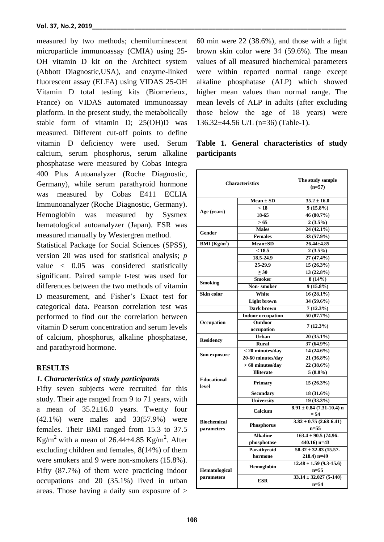measured by two methods; chemiluminescent microparticle immunoassay (CMIA) using 25- OH vitamin D kit on the Architect system (Abbott Diagnostic,USA), and enzyme-linked fluorescent assay (ELFA) using VIDAS 25-OH Vitamin D total testing kits (Biomerieux, France) on VIDAS automated immunoassay platform. In the present study, the metabolically stable form of vitamin D; 25(OH)D was measured. Different cut-off points to define vitamin D deficiency were used. Serum calcium, serum phosphorus, serum alkaline phosphatase were measured by Cobas Integra 400 Plus Autoanalyzer (Roche Diagnostic, Germany), while serum parathyroid hormone was measured by Cobas E411 ECLIA Immunoanalyzer (Roche Diagnostic, Germany). Hemoglobin was measured by Sysmex hematological autoanalyzer (Japan). ESR was measured manually by Westergren method.

Statistical Package for Social Sciences (SPSS), version 20 was used for statistical analysis; *p* value < 0.05 was considered statistically significant. Paired sample t-test was used for differences between the two methods of vitamin D measurement, and Fisher's Exact test for categorical data. Pearson correlation test was performed to find out the correlation between vitamin D serum concentration and serum levels of calcium, phosphorus, alkaline phosphatase, and parathyroid hormone.

### **RESULTS**

## *1. Characteristics of study participants*

Fifty seven subjects were recruited for this study. Their age ranged from 9 to 71 years, with a mean of  $35.2 \pm 16.0$  years. Twenty four (42.1%) were males and 33(57.9%) were females. Their BMI ranged from 15.3 to 37.5 Kg/m<sup>2</sup> with a mean of 26.44 $\pm$ 4.85 Kg/m<sup>2</sup>. After excluding children and females, 8(14%) of them were smokers and 9 were non-smokers (15.8%). Fifty (87.7%) of them were practicing indoor occupations and 20 (35.1%) lived in urban areas. Those having a daily sun exposure of >

60 min were 22 (38.6%), and those with a light brown skin color were 34 (59.6%). The mean values of all measured biochemical parameters were within reported normal range except alkaline phosphatase (ALP) which showed higher mean values than normal range. The mean levels of ALP in adults (after excluding those below the age of 18 years) were 136.32±44.56 U/L (n=36) (Table-1).

|                     |  | Table 1. General characteristics of study |  |
|---------------------|--|-------------------------------------------|--|
| <i>participants</i> |  |                                           |  |

| <b>Characteristics</b>                     |                              | The study sample<br>$(n=57)$            |  |
|--------------------------------------------|------------------------------|-----------------------------------------|--|
|                                            | $Mean \pm SD$                | $35.2 \pm 16.0$                         |  |
|                                            | $< 1\overline{8}$            | $9(15.8\%)$                             |  |
| Age (years)                                | 18-65                        | 46 (80.7%)                              |  |
|                                            | > 65                         | $2(3.5\%)$                              |  |
|                                            | <b>Males</b>                 | 24 (42.1%)                              |  |
| Gender                                     | <b>Females</b>               | 33 (57.9%)                              |  |
| $\overline{\mathrm{BMI}(\mathrm{Kg/m}^2)}$ | <b>Mean±SD</b>               | $26.44 \pm 4.85$                        |  |
|                                            | < 18.5                       | $2(3.5\%)$                              |  |
|                                            | 18.5-24.9                    | 27 (47.4%)                              |  |
|                                            | 25-29.9                      | $15(26.3\%)$                            |  |
|                                            | $\geq 30$                    | 13 (22.8%)                              |  |
|                                            | <b>Smoker</b>                | 8(14%)                                  |  |
| <b>Smoking</b>                             | <b>Non-smoker</b>            | $9(15.8\%)$                             |  |
|                                            |                              |                                         |  |
| Skin color                                 | White                        | $16(28.1\%)$                            |  |
|                                            | <b>Light brown</b>           | 34 (59.6%)                              |  |
|                                            | Dark brown                   | 7(12.3%)                                |  |
|                                            | <b>Indoor occupation</b>     | 50 (87.7%)                              |  |
| Occupation                                 | <b>Outdoor</b><br>occupation | 7(12.3%)                                |  |
|                                            | Urban                        | 20 (35.1%)                              |  |
| <b>Residency</b>                           | <b>Rural</b>                 | 37 (64.9%)                              |  |
|                                            | < 20 minutes/day             | 14 (24.6%)                              |  |
| Sun exposure                               | 20-60 minutes/day            | 21 (36.8%)                              |  |
|                                            | $> 60$ minutes/day           | 22 (38.6%)                              |  |
|                                            | <b>Illiterate</b>            | $5(8.8\%)$                              |  |
| <b>Educational</b><br>level                | Primary                      | $15(26.3\%)$                            |  |
|                                            | <b>Secondary</b>             | 18 (31.6%)                              |  |
|                                            | <b>University</b>            | $19(33.3\%)$                            |  |
|                                            | Calcium                      | $8.91 \pm 0.84$ (7.31-10.4) n<br>$= 54$ |  |
| <b>Biochemical</b><br>parameters           | <b>Phosphorus</b>            | $3.82 \pm 0.75$ (2.68-6.41)<br>$n=55$   |  |
|                                            | <b>Alkaline</b>              | $163.4 \pm 90.5$ (74.96-                |  |
|                                            | phosphotase                  | 440.16) $n=43$                          |  |
|                                            | Parathyroid                  | $58.32 \pm 32.83$ (15.57-               |  |
|                                            | hormone                      | $218.4$ ) n=49                          |  |
| Hematological                              | Hemoglobin                   | $12.48 \pm 1.59$ (9.3-15.6)<br>$n = 55$ |  |
| parameters                                 | <b>ESR</b>                   | $33.14 \pm 32.027$ (5-140)<br>$n=54$    |  |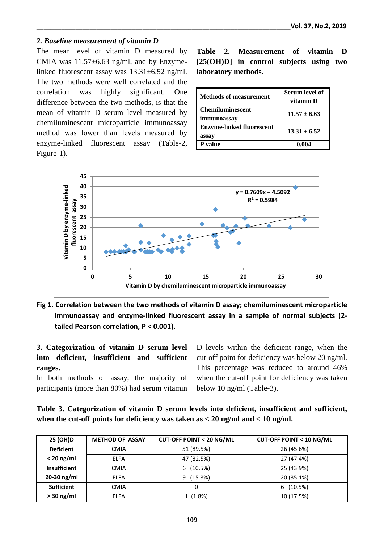# *2. Baseline measurement of vitamin D*

The mean level of vitamin D measured by CMIA was  $11.57\pm6.63$  ng/ml, and by Enzymelinked fluorescent assay was 13.31±6.52 ng/ml. The two methods were well correlated and the correlation was highly significant. One difference between the two methods, is that the mean of vitamin D serum level measured by chemiluminescent microparticle immunoassay method was lower than levels measured by enzyme-linked fluorescent assay (Table-2, Figure-1).

**Table 2. Measurement of vitamin D [25(OH)D] in control subjects using two laboratory methods.**

| <b>Methods of measurement</b>             | Serum level of<br>vitamin D |  |
|-------------------------------------------|-----------------------------|--|
| <b>Chemiluminescent</b><br>immunoassay    | $11.57 \pm 6.63$            |  |
| <b>Enzyme-linked fluorescent</b><br>assay | $13.31 \pm 6.52$            |  |
| $P$ value                                 | 0.004                       |  |



**Fig 1. Correlation between the two methods of vitamin D assay; chemiluminescent microparticle immunoassay and enzyme-linked fluorescent assay in a sample of normal subjects (2 tailed Pearson correlation, P < 0.001).**

**3. Categorization of vitamin D serum level into deficient, insufficient and sufficient ranges.**

In both methods of assay, the majority of participants (more than 80%) had serum vitamin

D levels within the deficient range, when the cut-off point for deficiency was below 20 ng/ml. This percentage was reduced to around 46% when the cut-off point for deficiency was taken below 10 ng/ml (Table-3).

**Table 3. Categorization of vitamin D serum levels into deficient, insufficient and sufficient, when the cut-off points for deficiency was taken as < 20 ng/ml and < 10 ng/ml.**

| 25 (OH)D            | <b>METHOD OF ASSAY</b> | <b>CUT-OFF POINT &lt; 20 NG/ML</b> | <b>CUT-OFF POINT &lt; 10 NG/ML</b> |
|---------------------|------------------------|------------------------------------|------------------------------------|
| <b>Deficient</b>    | <b>CMIA</b>            | 51 (89.5%)                         | 26 (45.6%)                         |
| $< 20$ ng/ml        | <b>ELFA</b>            | 47 (82.5%)                         | 27 (47.4%)                         |
| <b>Insufficient</b> | <b>CMIA</b>            | (10.5%)<br>6                       | 25 (43.9%)                         |
| 20-30 ng/ml         | <b>ELFA</b>            | 9(15.8%)                           | 20 (35.1%)                         |
| <b>Sufficient</b>   | <b>CMIA</b>            | 0                                  | (10.5%)<br>6                       |
| $> 30$ ng/ml        | <b>ELFA</b>            | 1(1.8%)                            | 10 (17.5%)                         |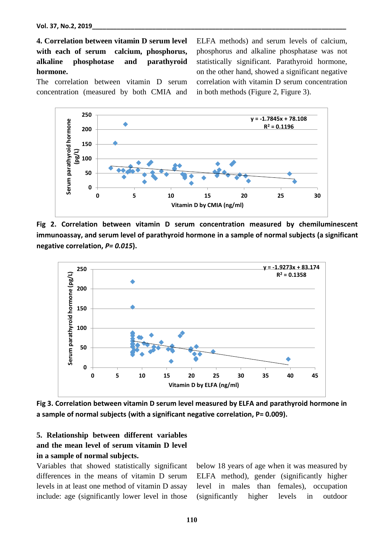**4. Correlation between vitamin D serum level with each of serum calcium, phosphorus, alkaline phosphotase and parathyroid hormone.**

The correlation between vitamin D serum concentration (measured by both CMIA and ELFA methods) and serum levels of calcium, phosphorus and alkaline phosphatase was not statistically significant. Parathyroid hormone, on the other hand, showed a significant negative correlation with vitamin D serum concentration in both methods (Figure 2, Figure 3).



**Fig 2. Correlation between vitamin D serum concentration measured by chemiluminescent immunoassay, and serum level of parathyroid hormone in a sample of normal subjects (a significant negative correlation,** *P= 0.015***).**



**Fig 3. Correlation between vitamin D serum level measured by ELFA and parathyroid hormone in a sample of normal subjects (with a significant negative correlation, P= 0.009).**

# **5. Relationship between different variables and the mean level of serum vitamin D level in a sample of normal subjects.**

Variables that showed statistically significant differences in the means of vitamin D serum levels in at least one method of vitamin D assay include: age (significantly lower level in those

below 18 years of age when it was measured by ELFA method), gender (significantly higher level in males than females), occupation (significantly higher levels in outdoor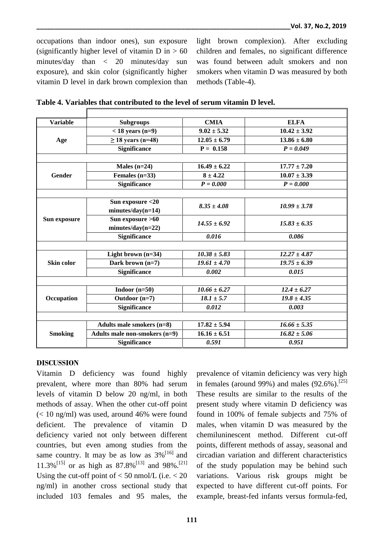occupations than indoor ones), sun exposure (significantly higher level of vitamin  $D$  in  $> 60$ minutes/day than < 20 minutes/day sun exposure), and skin color (significantly higher vitamin D level in dark brown complexion than light brown complexion). After excluding children and females, no significant difference was found between adult smokers and non smokers when vitamin D was measured by both methods (Table-4).

| <b>Variable</b> | <b>Subgroups</b>              | <b>CMIA</b>      | <b>ELFA</b>      |  |
|-----------------|-------------------------------|------------------|------------------|--|
| Age             | $<$ 18 years (n=9)            | $9.02 \pm 5.32$  | $10.42 \pm 3.92$ |  |
|                 | $\geq$ 18 years (n=48)        | $12.05 \pm 6.79$ | $13.86 + 6.80$   |  |
|                 | <b>Significance</b>           | $P = 0.158$      | $P = 0.049$      |  |
|                 |                               |                  |                  |  |
|                 | Males $(n=24)$                | $16.49 \pm 6.22$ | $17.77 \pm 7.20$ |  |
| Gender          | Females $(n=33)$              | $8 \pm 4.22$     | $10.07 \pm 3.39$ |  |
|                 | <b>Significance</b>           | $P = 0.000$      | $P = 0.000$      |  |
|                 |                               |                  |                  |  |
|                 | Sun exposure <20              | $8.35 \pm 4.08$  |                  |  |
|                 | $minutes/day(n=14)$           |                  | $10.99 \pm 3.78$ |  |
| Sun exposure    | Sun exposure >60              | $14.55 \pm 6.92$ | $15.83 \pm 6.35$ |  |
|                 | $minutes/day(n=22)$           |                  |                  |  |
|                 | <b>Significance</b>           | 0.016            | 0.086            |  |
|                 |                               |                  |                  |  |
|                 | Light brown $(n=34)$          | $10.38 \pm 5.83$ | $12.27 \pm 4.87$ |  |
| Skin color      | Dark brown $(n=7)$            | $19.61 \pm 4.70$ | $19.75 \pm 6.39$ |  |
|                 | Significance                  | 0.002            | 0.015            |  |
|                 |                               |                  |                  |  |
|                 | Indoor $(n=50)$               | $10.66 \pm 6.27$ | $12.4 \pm 6.27$  |  |
| Occupation      | Outdoor (n=7)                 | $18.1 \pm 5.7$   | $19.8 + 4.35$    |  |
|                 | <b>Significance</b>           | 0.012            | 0.003            |  |
|                 |                               |                  |                  |  |
|                 | Adults male smokers (n=8)     | $17.82 \pm 5.94$ | $16.66 \pm 5.35$ |  |
| <b>Smoking</b>  | Adults male non-smokers (n=9) | $16.16 \pm 6.51$ | $16.82 \pm 5.06$ |  |
|                 | <b>Significance</b>           | 0.591            | 0.951            |  |

**Table 4. Variables that contributed to the level of serum vitamin D level.**

### **DISCUSSION**

Vitamin D deficiency was found highly prevalent, where more than 80% had serum levels of vitamin D below 20 ng/ml, in both methods of assay. When the other cut-off point  $\ll$  10 ng/ml) was used, around 46% were found deficient. The prevalence of vitamin D deficiency varied not only between different countries, but even among studies from the same country. It may be as low as  $3\%$ <sup>[16]</sup> and 11.3%<sup>[15]</sup> or as high as 87.8%<sup>[13]</sup> and 98%.<sup>[21]</sup> Using the cut-off point of  $< 50$  nmol/L (i.e.  $< 20$ ) ng/ml) in another cross sectional study that included 103 females and 95 males, the

prevalence of vitamin deficiency was very high in females (around 99%) and males  $(92.6\%)$ <sup>[25]</sup> These results are similar to the results of the present study where vitamin D deficiency was found in 100% of female subjects and 75% of males, when vitamin D was measured by the chemiluninescent method. Different cut-off points, different methods of assay, seasonal and circadian variation and different characteristics of the study population may be behind such variations. Various risk groups might be expected to have different cut-off points. For example, breast-fed infants versus formula-fed,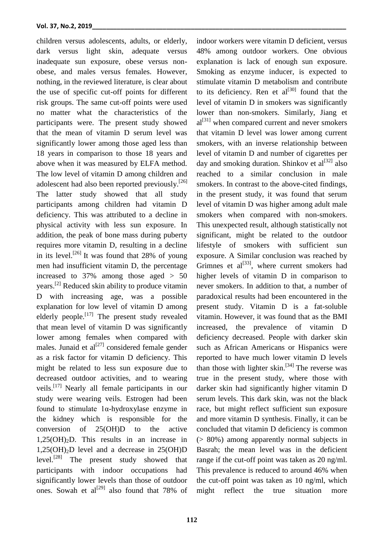children versus adolescents, adults, or elderly, dark versus light skin, adequate versus inadequate sun exposure, obese versus nonobese, and males versus females. However, nothing, in the reviewed literature, is clear about the use of specific cut-off points for different risk groups. The same cut-off points were used no matter what the characteristics of the participants were. The present study showed that the mean of vitamin D serum level was significantly lower among those aged less than 18 years in comparison to those 18 years and above when it was measured by ELFA method. The low level of vitamin D among children and adolescent had also been reported previously.<sup>[26]</sup> The latter study showed that all study participants among children had vitamin D deficiency. This was attributed to a decline in physical activity with less sun exposure. In addition, the peak of bone mass during puberty requires more vitamin D, resulting in a decline in its level.<sup>[26]</sup> It was found that 28% of young men had insufficient vitamin D, the percentage increased to  $37\%$  among those aged  $> 50$ years.[2] Reduced skin ability to produce vitamin D with increasing age, was a possible explanation for low level of vitamin D among elderly people.<sup>[17]</sup> The present study revealed that mean level of vitamin D was significantly lower among females when compared with males. Junaid et  $al^{[27]}$  considered female gender as a risk factor for vitamin D deficiency. This might be related to less sun exposure due to decreased outdoor activities, and to wearing veils.[17] Nearly all female participants in our study were wearing veils. Estrogen had been found to stimulate 1α-hydroxylase enzyme in the kidney which is responsible for the conversion of 25(OH)D to the active  $1,25(OH)<sub>2</sub>D$ . This results in an increase in  $1,25(OH)<sub>2</sub>D$  level and a decrease in  $25(OH)D$ level.[28] The present study showed that participants with indoor occupations had significantly lower levels than those of outdoor ones. Sowah et al<sup>[29]</sup> also found that 78% of

explanation is lack of enough sun exposure. Smoking as enzyme inducer, is expected to stimulate vitamin D metabolism and contribute to its deficiency. Ren et  $al^{[30]}$  found that the level of vitamin D in smokers was significantly lower than non-smokers. Similarly, Jiang et  $al^{[31]}$  when compared current and never smokers that vitamin D level was lower among current smokers, with an inverse relationship between level of vitamin D and number of cigarettes per day and smoking duration. Shinkov et  $al^{[32]}$  also reached to a similar conclusion in male smokers. In contrast to the above-cited findings, in the present study, it was found that serum level of vitamin D was higher among adult male smokers when compared with non-smokers. This unexpected result, although statistically not significant, might be related to the outdoor lifestyle of smokers with sufficient sun exposure. A Similar conclusion was reached by Grimnes et  $al^{[33]}$ , where current smokers had higher levels of vitamin D in comparison to never smokers. In addition to that, a number of paradoxical results had been encountered in the present study. Vitamin D is a fat-soluble vitamin. However, it was found that as the BMI increased, the prevalence of vitamin D deficiency decreased. People with darker skin such as African Americans or Hispanics were reported to have much lower vitamin D levels than those with lighter  $\sin$ <sup>[34]</sup> The reverse was true in the present study, where those with darker skin had significantly higher vitamin D serum levels. This dark skin, was not the black race, but might reflect sufficient sun exposure and more vitamin D synthesis. Finally, it can be concluded that vitamin D deficiency is common (> 80%) among apparently normal subjects in Basrah; the mean level was in the deficient range if the cut-off point was taken as 20 ng/ml. This prevalence is reduced to around 46% when the cut-off point was taken as 10 ng/ml, which might reflect the true situation more

indoor workers were vitamin D deficient, versus 48% among outdoor workers. One obvious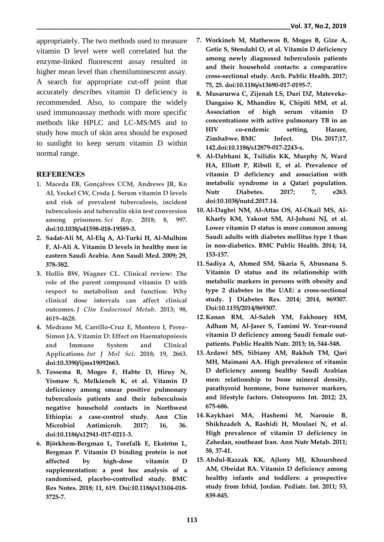appropriately. The two methods used to measure vitamin D level were well correlated but the enzyme-linked fluorescent assay resulted in higher mean level than chemiluminescent assay. A search for appropriate cut-off point that accurately describes vitamin D deficiency is recommended. Also, to compare the widely used immunoassay methods with more specific methods like HPLC and LC-MS/MS and to study how much of skin area should be exposed to sunlight to keep serum vitamin D within normal range.

# **REFERENCES**

- **1. Maceda EB, Gonçalves CCM, Andrews JR, Ko AI, Yeckel CW, Croda J. Serum vitamin D levels and risk of prevalent tuberculosis, incident tuberculosis and tuberculin skin test conversion among prisoners.** *Sci Rep***. 2018; 8, 997. doi:10.1038/s41598-018-19589-3.**
- **2. Sadat-Ali M, Al-Elq A, Al-Turki H, Al-Mulhim F, Al-Ali A. Vitamin D levels in healthy men in eastern Saudi Arabia. Ann Saudi Med. 2009; 29, 378-382.**
- **3. Hollis BW, Wagner CL. Clinical review: The role of the parent compound vitamin D with respect to metabolism and function: Why clinical dose intervals can affect clinical outcomes.** *J Clin Endocrinol Metab***. 2013; 98, 4619–4628.**
- **4. Medrano M, Carrillo-Cruz E, Montero I, Perez-Simon JA. Vitamin D: Effect on Haematopoiesis and Immune System and Clinical Applications.** *Int J Mol Sci***. 2018; 19, 2663. doi:10.3390/ijms19092663.**
- **5. Tessema B, Moges F, Habte D, Hiruy N, Yismaw S, Melkieneh K, et al. Vitamin D deficiency among smear positive pulmonary tuberculosis patients and their tuberculosis negative household contacts in Northwest Ethiopia: a case-control study. Ann Clin Microbiol Antimicrob. 2017; 16, 36. doi:10.1186/s12941-017-0211-3.**
- **6. Björkhem-Bergman L, Torefalk E, Ekström L, Bergman P. Vitamin D binding protein is not affected by high-dose vitamin D supplementation: a post hoc analysis of a randomised, placebo-controlled study. BMC Res Notes. 2018; 11, 619. Doi:10.1186/s13104-018- 3725-7.**
- **7. Workineh M, Mathewos B, Moges B, Gize A, Getie S, Stendahl O, et al. Vitamin D deficiency among newly diagnosed tuberculosis patients and their household contacts: a comparative cross-sectional study. Arch. Public Health. 2017; 75, 25. doi:10.1186/s13690-017-0195-7.**
- **8. Musarurwa C, Zijenah LS, Duri DZ, Mateveke-Dangaiso K, Mhandire K, Chipiti MM, et al. Association of high serum vitamin D concentrations with active pulmonary TB in an HIV co-endemic setting, Harare, Zimbabwe. BMC Infect. Dis. 2017;17, 142.doi:10.1186/s12879-017-2243-x.**
- **9. Al-Dabhani K, Tsilidis KK, Murphy N, Ward HA, Elliott P, Riboli E, et al. Prevalence of vitamin D deficiency and association with metabolic syndrome in a Qatari population. Nutr Diabetes. 2017; 7, e263. doi:10.1038/nutd.2017.14.**
- **10. Al-Daghri NM, Al-Attas OS, Al-Okail MS, Al-Kharfy KM, Yakout SM, Al-Johani NJ, et al. Lower vitamin D status is more common among Saudi adults with diabetes mellitus type 1 than in non-diabetics. BMC Public Health. 2014; 14, 153-157.**
- **11. Sadiya A, Ahmed SM, Skaria S, Abusnana S. Vitamin D status and its relationship with metabolic markers in persons with obesity and type 2 diabetes in the UAE: a cross-sectional study. J Diabetes Res. 2014; 2014, 869307. Doi:10.1155/2014/869307.**
- **12. Kanan RM, Al-Saleh YM, Fakhoury HM, Adham M, Al-Jaser S, Tamimi W. Year-round vitamin D deficiency among Saudi female outpatients. Public Health Nutr. 2013; 16, 544-548.**
- **13. Ardawi MS, Sibiany AM, Bakhsh TM, Qari MH, Maimani AA. High prevalence of vitamin D deficiency among healthy Saudi Arabian men: relationship to bone mineral density, parathyroid hormone, bone turnover markers, and lifestyle factors. Osteoporos Int. 2012; 23, 675-686.**
- **14. Kaykhaei MA, Hashemi M, Narouie B, Shikhzadeh A, Rashidi H, Moulaei N, et al. High prevalence of vitamin D deficiency in Zahedan, southeast Iran. Ann Nutr Metab. 2011; 58, 37-41.**
- **15. Abdul-Razzak KK, Ajlony MJ, Khoursheed AM, Obeidat BA. Vitamin D deficiency among healthy infants and toddlers: a prospective study from Irbid, Jordan. Pediatr. Int. 2011; 53, 839-845.**